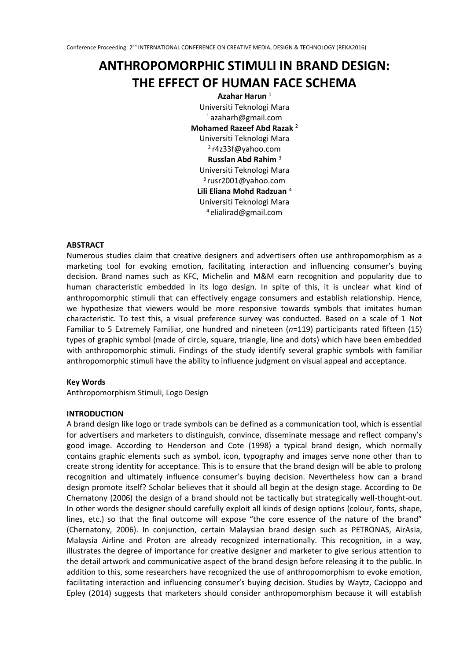# **ANTHROPOMORPHIC STIMULI IN BRAND DESIGN: THE EFFECT OF HUMAN FACE SCHEMA**

**Azahar Harun** <sup>1</sup> Universiti Teknologi Mara <sup>1</sup>azaharh@gmail.com **Mohamed Razeef Abd Razak** <sup>2</sup> Universiti Teknologi Mara <sup>2</sup>r4z33f@yahoo.com **Russlan Abd Rahim** <sup>3</sup> Universiti Teknologi Mara <sup>3</sup>rusr2001@yahoo.com **Lili Eliana Mohd Radzuan** <sup>4</sup> Universiti Teknologi Mara <sup>4</sup>elialirad@gmail.com

# **ABSTRACT**

Numerous studies claim that creative designers and advertisers often use anthropomorphism as a marketing tool for evoking emotion, facilitating interaction and influencing consumer's buying decision. Brand names such as KFC, Michelin and M&M earn recognition and popularity due to human characteristic embedded in its logo design. In spite of this, it is unclear what kind of anthropomorphic stimuli that can effectively engage consumers and establish relationship. Hence, we hypothesize that viewers would be more responsive towards symbols that imitates human characteristic. To test this, a visual preference survey was conducted. Based on a scale of 1 Not Familiar to 5 Extremely Familiar, one hundred and nineteen (*n*=119) participants rated fifteen (15) types of graphic symbol (made of circle, square, triangle, line and dots) which have been embedded with anthropomorphic stimuli. Findings of the study identify several graphic symbols with familiar anthropomorphic stimuli have the ability to influence judgment on visual appeal and acceptance.

## **Key Words**

Anthropomorphism Stimuli, Logo Design

## **INTRODUCTION**

A brand design like logo or trade symbols can be defined as a communication tool, which is essential for advertisers and marketers to distinguish, convince, disseminate message and reflect company's good image. According to Henderson and Cote (1998) a typical brand design, which normally contains graphic elements such as symbol, icon, typography and images serve none other than to create strong identity for acceptance. This is to ensure that the brand design will be able to prolong recognition and ultimately influence consumer's buying decision. Nevertheless how can a brand design promote itself? Scholar believes that it should all begin at the design stage. According to De Chernatony (2006) the design of a brand should not be tactically but strategically well-thought-out. In other words the designer should carefully exploit all kinds of design options (colour, fonts, shape, lines, etc.) so that the final outcome will expose "the core essence of the nature of the brand" (Chernatony, 2006). In conjunction, certain Malaysian brand design such as PETRONAS, AirAsia, Malaysia Airline and Proton are already recognized internationally. This recognition, in a way, illustrates the degree of importance for creative designer and marketer to give serious attention to the detail artwork and communicative aspect of the brand design before releasing it to the public. In addition to this, some researchers have recognized the use of anthropomorphism to evoke emotion, facilitating interaction and influencing consumer's buying decision. Studies by [Waytz, Cacioppo](http://h) and [Epley](http://h) (2014) suggests that marketers should consider anthropomorphism because it will establish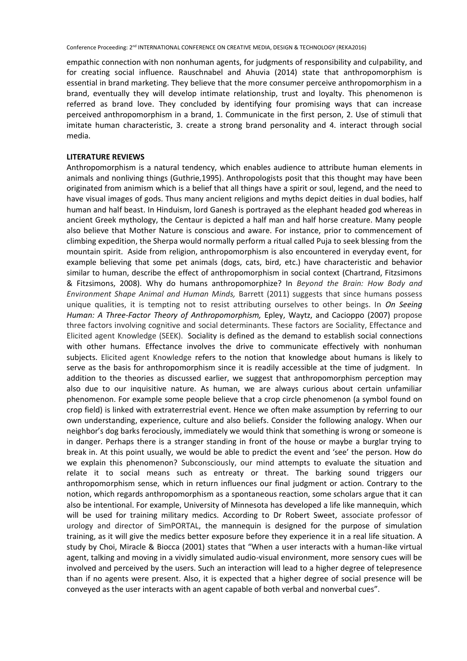empathic connection with non nonhuman agents, for judgments of responsibility and culpability, and for creating social influence. Rauschnabel and Ahuvia (2014) state that anthropomorphism is essential in brand marketing. They believe that the more consumer perceive anthropomorphism in a brand, eventually they will develop intimate relationship, trust and loyalty. This phenomenon is referred as brand love. They concluded by identifying four promising ways that can increase perceived anthropomorphism in a brand, 1. Communicate in the first person, 2. Use of stimuli that imitate human characteristic, 3. create a strong brand personality and 4. interact through social media.

#### **LITERATURE REVIEWS**

Anthropomorphism is a natural tendency, which enables audience to attribute human elements in animals and nonliving things (Guthrie,1995). Anthropologists posit that this thought may have been originated from animism which is a belief that all things have a spirit or soul, legend, and the need to have visual images of gods. Thus many ancient religions and myths depict deities in dual bodies, half human and half beast. In Hinduism, lord Ganesh is portrayed as the elephant headed god whereas in ancient Greek mythology, the Centaur is depicted a half man and half horse creature. Many people also believe that Mother Nature is conscious and aware. For instance, prior to commencement of climbing expedition, the Sherpa would normally perform a ritual called Puja to seek blessing from the mountain spirit. Aside from religion, anthropomorphism is also encountered in everyday event, for example believing that some pet animals (dogs, cats, bird, etc.) have characteristic and behavior similar to human, describe the effect of anthropomorphism in social context (Chartrand, Fitzsimons & Fitzsimons, 2008). Why do humans anthropomorphize? In *Beyond the Brain: How Body and Environment Shape Animal and Human Minds,* Barrett (2011) suggests that since humans possess unique qualities, it is tempting not to resist attributing ourselves to other beings. In *On Seeing Human: A Three-Factor Theory of Anthropomorphism,* Epley, Waytz, and Cacioppo (2007) propose three factors involving cognitive and social determinants. These factors are Sociality, Effectance and Elicited agent Knowledge (SEEK). Sociality is defined as the demand to establish social connections with other humans. Effectance involves the drive to communicate effectively with nonhuman subjects. Elicited agent Knowledge refers to the notion that knowledge about humans is likely to serve as the basis for anthropomorphism since it is readily accessible at the time of judgment. In addition to the theories as discussed earlier, we suggest that anthropomorphism perception may also due to our inquisitive nature. As human, we are always curious about certain unfamiliar phenomenon. For example some people believe that a crop circle phenomenon (a symbol found on crop field) is linked with extraterrestrial event. Hence we often make assumption by referring to our own understanding, experience, culture and also beliefs. Consider the following analogy. When our neighbor's dog barks ferociously, immediately we would think that something is wrong or someone is in danger. Perhaps there is a stranger standing in front of the house or maybe a burglar trying to break in. At this point usually, we would be able to predict the event and 'see' the person. How do we explain this phenomenon? Subconsciously, our mind attempts to evaluate the situation and relate it to social means such as entreaty or threat. The barking sound triggers our anthropomorphism sense, which in return influences our final judgment or action. Contrary to the notion, which regards anthropomorphism as a spontaneous reaction, some scholars argue that it can also be intentional. For example, University of Minnesota has developed a life like mannequin, which will be used for training military medics. According to Dr Robert Sweet, associate professor of urology and director of SimPORTAL, the mannequin is designed for the purpose of simulation training, as it will give the medics better exposure before they experience it in a real life situation. A study by Choi, Miracle & Biocca (2001) states that "When a user interacts with a human-like virtual agent, talking and moving in a vividly simulated audio-visual environment, more sensory cues will be involved and perceived by the users. Such an interaction will lead to a higher degree of telepresence than if no agents were present. Also, it is expected that a higher degree of social presence will be conveyed as the user interacts with an agent capable of both verbal and nonverbal cues".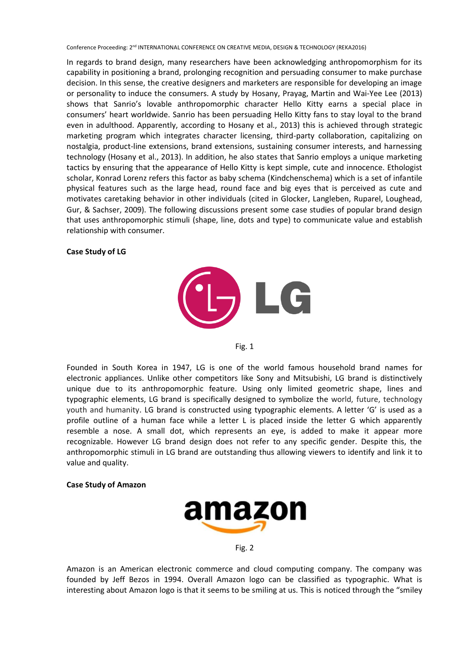In regards to brand design, many researchers have been acknowledging anthropomorphism for its capability in positioning a brand, prolonging recognition and persuading consumer to make purchase decision. In this sense, the creative designers and marketers are responsible for developing an image or personality to induce the consumers. A study by Hosany, [Prayag, Martin](http://h) and [Wai-Yee Lee](http://h) (2013) shows that Sanrio's lovable anthropomorphic character Hello Kitty earns a special place in consumers' heart worldwide. Sanrio has been persuading Hello Kitty fans to stay loyal to the brand even in adulthood. Apparently, according to Hosany et al., 2013) this is achieved through strategic marketing program which integrates character licensing, third-party collaboration, capitalizing on nostalgia, product-line extensions, brand extensions, sustaining consumer interests, and harnessing technology (Hosany et al., 2013). In addition, he also states that Sanrio employs a unique marketing tactics by ensuring that the appearance of Hello Kitty is kept simple, cute and innocence. Ethologist scholar, Konrad Lorenz refers this factor as baby schema (Kindchenschema) which is a set of infantile physical features such as the large head, round face and big eyes that is perceived as cute and motivates caretaking behavior in other individuals (cited in [Glocker,](http://h) [Langleben, Ruparel, Loughead,](http://h) [Gur,](http://h) & [Sachser,](http://h) 2009). The following discussions present some case studies of popular brand design that uses anthropomorphic stimuli (shape, line, dots and type) to communicate value and establish relationship with consumer.

## **Case Study of LG**





Founded in South Korea in 1947, LG is one of the world famous household brand names for electronic appliances. Unlike other competitors like Sony and Mitsubishi, LG brand is distinctively unique due to its anthropomorphic feature. Using only limited geometric shape, lines and typographic elements, LG brand is specifically designed to symbolize the world, future, technology youth and humanity. LG brand is constructed using typographic elements. A letter 'G' is used as a profile outline of a human face while a letter L is placed inside the letter G which apparently resemble a nose. A small dot, which represents an eye, is added to make it appear more recognizable. However LG brand design does not refer to any specific gender. Despite this, the anthropomorphic stimuli in LG brand are outstanding thus allowing viewers to identify and link it to value and quality.

#### **Case Study of Amazon**



Fig. 2

Amazon is an American electronic commerce and cloud computing company. The company was founded by Jeff Bezos in 1994. Overall Amazon logo can be classified as typographic. What is interesting about Amazon logo is that it seems to be smiling at us. This is noticed through the "smiley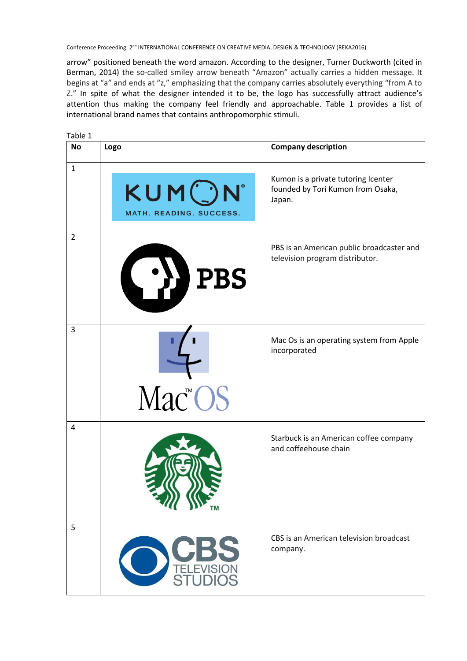arrow" positioned beneath the word amazon. According to the designer, Turner Duckworth (cited in Berman, 2014) the so-called smiley arrow beneath "Amazon" actually carries a hidden message. It begins at "a" and ends at "z," emphasizing that the company carries absolutely everything "from A to Z." In spite of what the designer intended it to be, the logo has successfully attract audience's attention thus making the company feel friendly and approachable. Table 1 provides a list of international brand names that contains anthropomorphic stimuli.

| Table 1        |                                  |                                                                                    |
|----------------|----------------------------------|------------------------------------------------------------------------------------|
| <b>No</b>      | Logo                             | <b>Company description</b>                                                         |
| $\mathbf{1}$   | KUMON<br>MATH. READING. SUCCESS. | Kumon is a private tutoring Icenter<br>founded by Tori Kumon from Osaka,<br>Japan. |
| $\overline{2}$ | <b>L'JJPBS</b>                   | PBS is an American public broadcaster and<br>television program distributor.       |
| $\overline{3}$ | Mac <sup>™</sup> OS              | Mac Os is an operating system from Apple<br>incorporated                           |
| $\overline{4}$ |                                  | Starbuck is an American coffee company<br>and coffeehouse chain                    |
| 5              | <b>STUDIOS</b>                   | CBS is an American television broadcast<br>company.                                |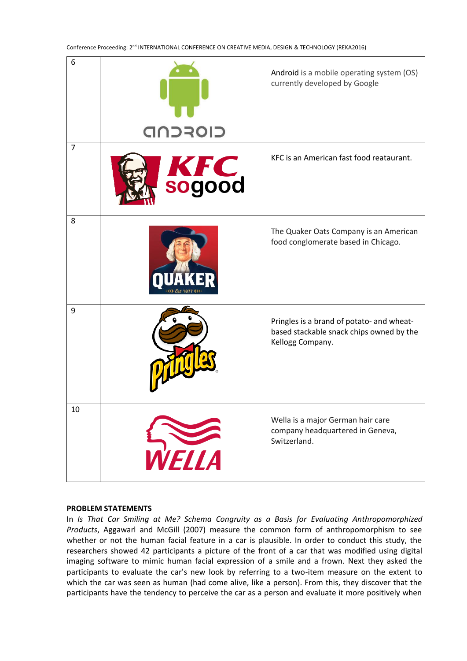| 6              | CIOFCND              | Android is a mobile operating system (OS)<br>currently developed by Google                                |
|----------------|----------------------|-----------------------------------------------------------------------------------------------------------|
| $\overline{7}$ | <b>KFC</b><br>sogood | KFC is an American fast food reataurant.                                                                  |
| 8              |                      | The Quaker Oats Company is an American<br>food conglomerate based in Chicago.                             |
| 9              |                      | Pringles is a brand of potato- and wheat-<br>based stackable snack chips owned by the<br>Kellogg Company. |
| $10\,$         | WELLA                | Wella is a major German hair care<br>company headquartered in Geneva,<br>Switzerland.                     |

#### **PROBLEM STATEMENTS**

In *Is That Car Smiling at Me? Schema Congruity as a Basis for Evaluating Anthropomorphized Products*, Aggawarl and McGill (2007) measure the common form of anthropomorphism to see whether or not the human facial feature in a car is plausible. In order to conduct this study, the researchers showed 42 participants a picture of the front of a car that was modified using digital imaging software to mimic human facial expression of a smile and a frown. Next they asked the participants to evaluate the car's new look by referring to a two-item measure on the extent to which the car was seen as human (had come alive, like a person). From this, they discover that the participants have the tendency to perceive the car as a person and evaluate it more positively when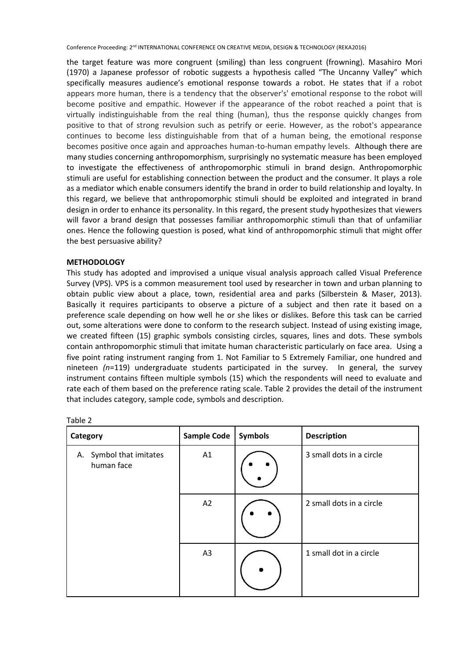the target feature was more congruent (smiling) than less congruent (frowning). Masahiro Mori (1970) a Japanese professor of robotic suggests a hypothesis called "The Uncanny Valley" which specifically measures audience's emotional response towards a robot. He states that if a robot appears more human, there is a tendency that the observer's' emotional response to the robot will become positive and empathic. However if the appearance of the robot reached a point that is virtually indistinguishable from the real thing (human), thus the response quickly changes from positive to that of strong revulsion such as petrify or eerie. However, as the robot's appearance continues to become less distinguishable from that of a human being, the emotional response becomes positive once again and approaches human-to-human empathy levels. Although there are many studies concerning anthropomorphism, surprisingly no systematic measure has been employed to investigate the effectiveness of anthropomorphic stimuli in brand design. Anthropomorphic stimuli are useful for establishing connection between the product and the consumer. It plays a role as a mediator which enable consumers identify the brand in order to build relationship and loyalty. In this regard, we believe that anthropomorphic stimuli should be exploited and integrated in brand design in order to enhance its personality. In this regard, the present study hypothesizes that viewers will favor a brand design that possesses familiar anthropomorphic stimuli than that of unfamiliar ones. Hence the following question is posed, what kind of anthropomorphic stimuli that might offer the best persuasive ability?

## **METHODOLOGY**

This study has adopted and improvised a unique visual analysis approach called Visual Preference Survey (VPS). VPS is a common measurement tool used by researcher in town and urban planning to obtain public view about a place, town, residential area and parks (Silberstein & Maser, 2013). Basically it requires participants to observe a picture of a subject and then rate it based on a preference scale depending on how well he or she likes or dislikes. Before this task can be carried out, some alterations were done to conform to the research subject. Instead of using existing image, we created fifteen (15) graphic symbols consisting circles, squares, lines and dots. These symbols contain anthropomorphic stimuli that imitate human characteristic particularly on face area. Using a five point rating instrument ranging from 1. Not Familiar to 5 Extremely Familiar, one hundred and nineteen *(n*=119) undergraduate students participated in the survey. In general, the survey instrument contains fifteen multiple symbols (15) which the respondents will need to evaluate and rate each of them based on the preference rating scale. Table 2 provides the detail of the instrument that includes category, sample code, symbols and description.

| Category                              | <b>Sample Code</b> | <b>Symbols</b> | <b>Description</b>       |
|---------------------------------------|--------------------|----------------|--------------------------|
| A. Symbol that imitates<br>human face | A1                 |                | 3 small dots in a circle |
|                                       | A2                 |                | 2 small dots in a circle |
|                                       | A3                 |                | 1 small dot in a circle  |

| c.<br>o |  |
|---------|--|
|         |  |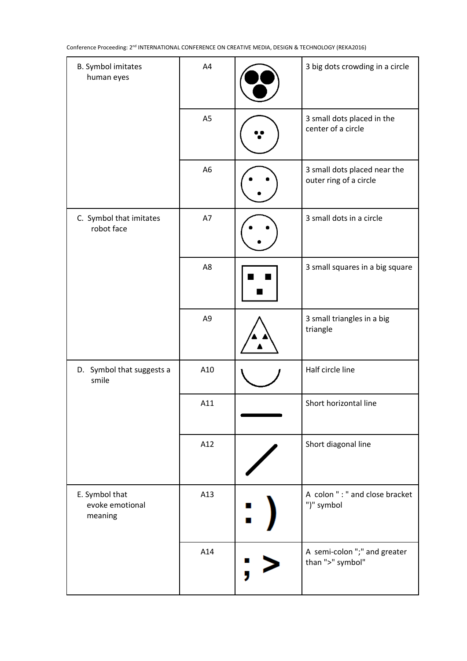| B. Symbol imitates<br>human eyes             | A4             | 3 big dots crowding in a circle                        |
|----------------------------------------------|----------------|--------------------------------------------------------|
|                                              | A <sub>5</sub> | 3 small dots placed in the<br>center of a circle       |
|                                              | A <sub>6</sub> | 3 small dots placed near the<br>outer ring of a circle |
| C. Symbol that imitates<br>robot face        | A7             | 3 small dots in a circle                               |
|                                              | A <sub>8</sub> | 3 small squares in a big square                        |
|                                              | A <sub>9</sub> | 3 small triangles in a big<br>triangle                 |
| D. Symbol that suggests a<br>smile           | A10            | Half circle line                                       |
|                                              | A11            | Short horizontal line                                  |
|                                              | A12            | Short diagonal line                                    |
| E. Symbol that<br>evoke emotional<br>meaning | A13            | A colon ": " and close bracket<br>")" symbol           |
|                                              | A14            | A semi-colon ";" and greater<br>than ">" symbol"       |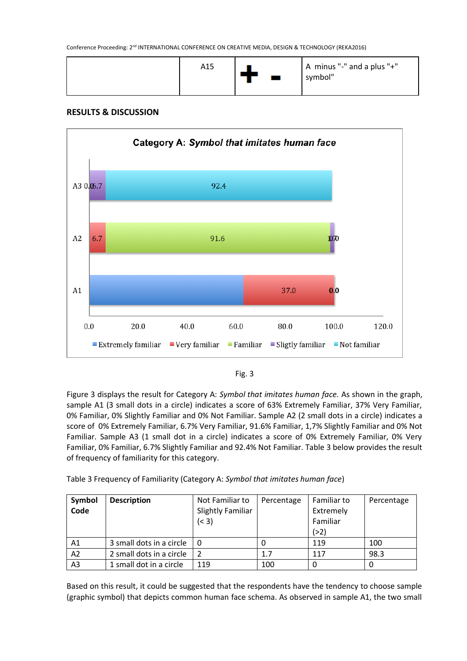| A15 | A minus "-" and a plus "+"<br>symbol" |
|-----|---------------------------------------|
|     |                                       |

# **RESULTS & DISCUSSION**





Figure 3 displays the result for Category A: *Symbol that imitates human face.* As shown in the graph, sample A1 (3 small dots in a circle) indicates a score of 63% Extremely Familiar, 37% Very Familiar, 0% Familiar, 0% Slightly Familiar and 0% Not Familiar. Sample A2 (2 small dots in a circle) indicates a score of 0% Extremely Familiar, 6.7% Very Familiar, 91.6% Familiar, 1,7% Slightly Familiar and 0% Not Familiar. Sample A3 (1 small dot in a circle) indicates a score of 0% Extremely Familiar, 0% Very Familiar, 0% Familiar, 6.7% Slightly Familiar and 92.4% Not Familiar. Table 3 below provides the result of frequency of familiarity for this category.

Table 3 Frequency of Familiarity (Category A: *Symbol that imitates human face*)

| Symbol         | <b>Description</b>       | Not Familiar to   | Percentage | Familiar to | Percentage |
|----------------|--------------------------|-------------------|------------|-------------|------------|
| Code           |                          | Slightly Familiar |            | Extremely   |            |
|                |                          | (< 3)             |            | Familiar    |            |
|                |                          |                   |            | ( > 2)      |            |
| Α1             | 3 small dots in a circle | 0                 |            | 119         | 100        |
| A2             | 2 small dots in a circle | 2                 | 1.7        | 117         | 98.3       |
| A <sub>3</sub> | 1 small dot in a circle  | 119               | 100        |             |            |

Based on this result, it could be suggested that the respondents have the tendency to choose sample (graphic symbol) that depicts common human face schema. As observed in sample A1, the two small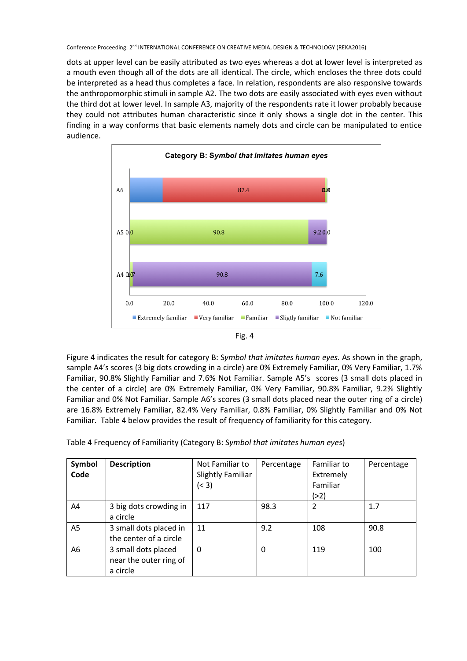dots at upper level can be easily attributed as two eyes whereas a dot at lower level is interpreted as a mouth even though all of the dots are all identical. The circle, which encloses the three dots could be interpreted as a head thus completes a face. In relation, respondents are also responsive towards the anthropomorphic stimuli in sample A2. The two dots are easily associated with eyes even without the third dot at lower level. In sample A3, majority of the respondents rate it lower probably because they could not attributes human characteristic since it only shows a single dot in the center. This finding in a way conforms that basic elements namely dots and circle can be manipulated to entice audience.



|--|--|

Figure 4 indicates the result for category B: S*ymbol that imitates human eyes.* As shown in the graph, sample A4's scores (3 big dots crowding in a circle) are 0% Extremely Familiar, 0% Very Familiar, 1.7% Familiar, 90.8% Slightly Familiar and 7.6% Not Familiar. Sample A5's scores (3 small dots placed in the center of a circle) are 0% Extremely Familiar, 0% Very Familiar, 90.8% Familiar, 9.2% Slightly Familiar and 0% Not Familiar. Sample A6's scores (3 small dots placed near the outer ring of a circle) are 16.8% Extremely Familiar, 82.4% Very Familiar, 0.8% Familiar, 0% Slightly Familiar and 0% Not Familiar. Table 4 below provides the result of frequency of familiarity for this category.

Table 4 Frequency of Familiarity (Category B: S*ymbol that imitates human eyes*)

| Symbol<br>Code | <b>Description</b>                                        | Not Familiar to<br><b>Slightly Familiar</b><br>(< 3) | Percentage | Familiar to<br>Extremely<br>Familiar<br>( > 2) | Percentage |
|----------------|-----------------------------------------------------------|------------------------------------------------------|------------|------------------------------------------------|------------|
| A4             | 3 big dots crowding in<br>a circle                        | 117                                                  | 98.3       | $\overline{2}$                                 | 1.7        |
| A <sub>5</sub> | 3 small dots placed in<br>the center of a circle          | 11                                                   | 9.2        | 108                                            | 90.8       |
| A <sub>6</sub> | 3 small dots placed<br>near the outer ring of<br>a circle | $\mathbf 0$                                          | 0          | 119                                            | 100        |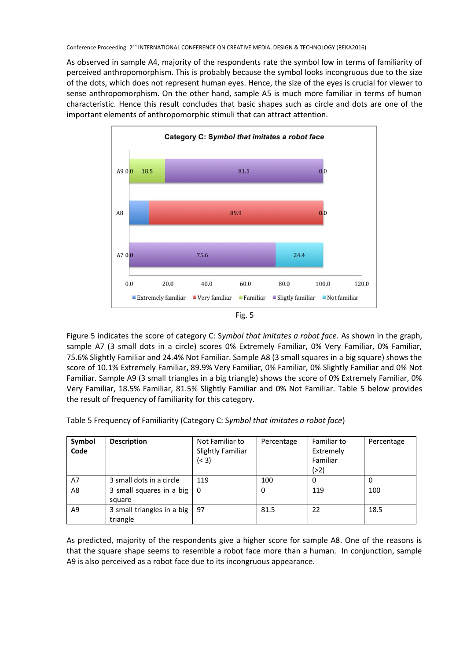As observed in sample A4, majority of the respondents rate the symbol low in terms of familiarity of perceived anthropomorphism. This is probably because the symbol looks incongruous due to the size of the dots, which does not represent human eyes. Hence, the size of the eyes is crucial for viewer to sense anthropomorphism. On the other hand, sample A5 is much more familiar in terms of human characteristic. Hence this result concludes that basic shapes such as circle and dots are one of the important elements of anthropomorphic stimuli that can attract attention.





Figure 5 indicates the score of category C: S*ymbol that imitates a robot face.* As shown in the graph, sample A7 (3 small dots in a circle) scores 0% Extremely Familiar, 0% Very Familiar, 0% Familiar, 75.6% Slightly Familiar and 24.4% Not Familiar. Sample A8 (3 small squares in a big square) shows the score of 10.1% Extremely Familiar, 89.9% Very Familiar, 0% Familiar, 0% Slightly Familiar and 0% Not Familiar. Sample A9 (3 small triangles in a big triangle) shows the score of 0% Extremely Familiar, 0% Very Familiar, 18.5% Familiar, 81.5% Slightly Familiar and 0% Not Familiar. Table 5 below provides the result of frequency of familiarity for this category.

| Symbol         | <b>Description</b>       | Not Familiar to          | Percentage | Familiar to | Percentage |
|----------------|--------------------------|--------------------------|------------|-------------|------------|
| Code           |                          | <b>Slightly Familiar</b> |            | Extremely   |            |
|                |                          | (< 3)                    |            | Familiar    |            |
|                |                          |                          |            | (>2)        |            |
| A7             | 3 small dots in a circle | 119                      | 100        |             |            |
| A <sub>8</sub> | 3 small squares in a big | 0                        | 0          | 119         | 100        |
|                | square                   |                          |            |             |            |

Table 5 Frequency of Familiarity (Category C: S*ymbol that imitates a robot face*)

A9 3 small triangles in a big triangle

As predicted, majority of the respondents give a higher score for sample A8. One of the reasons is that the square shape seems to resemble a robot face more than a human. In conjunction, sample A9 is also perceived as a robot face due to its incongruous appearance.

97 81.5 22 18.5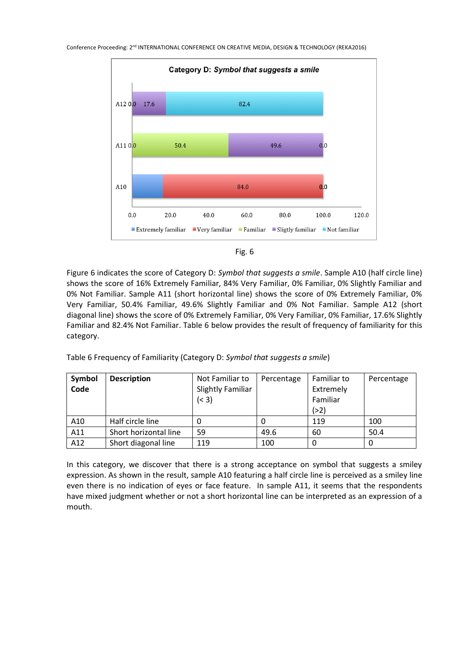

| т<br>۰.<br>× |
|--------------|
|--------------|

Figure 6 indicates the score of Category D: *Symbol that suggests a smile*. Sample A10 (half circle line) shows the score of 16% Extremely Familiar, 84% Very Familiar, 0% Familiar, 0% Slightly Familiar and 0% Not Familiar. Sample A11 (short horizontal line) shows the score of 0% Extremely Familiar, 0% Very Familiar, 50.4% Familiar, 49.6% Slightly Familiar and 0% Not Familiar. Sample A12 (short diagonal line) shows the score of 0% Extremely Familiar, 0% Very Familiar, 0% Familiar, 17.6% Slightly Familiar and 82.4% Not Familiar. Table 6 below provides the result of frequency of familiarity for this category.

| Symbol | <b>Description</b>    | Not Familiar to          | Percentage | Familiar to | Percentage |
|--------|-----------------------|--------------------------|------------|-------------|------------|
| Code   |                       | <b>Slightly Familiar</b> |            | Extremely   |            |
|        |                       | (< 3)                    |            | Familiar    |            |
|        |                       |                          |            | ( > 2)      |            |
| A10    | Half circle line      | O                        |            | 119         | 100        |
| A11    | Short horizontal line | 59                       | 49.6       | 60          | 50.4       |
| A12    | Short diagonal line   | 119                      | 100        |             |            |

Table 6 Frequency of Familiarity (Category D: *Symbol that suggests a smile*)

In this category, we discover that there is a strong acceptance on symbol that suggests a smiley expression. As shown in the result, sample A10 featuring a half circle line is perceived as a smiley line even there is no indication of eyes or face feature. In sample A11, it seems that the respondents have mixed judgment whether or not a short horizontal line can be interpreted as an expression of a mouth.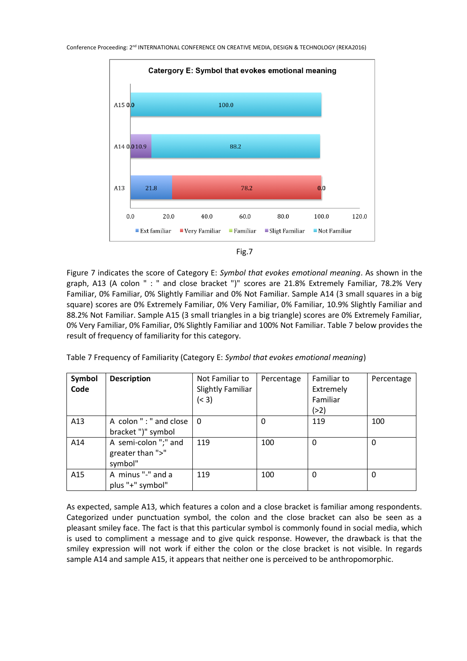

Figure 7 indicates the score of Category E: *Symbol that evokes emotional meaning*. As shown in the graph, A13 (A colon " : " and close bracket ")" scores are 21.8% Extremely Familiar, 78.2% Very Familiar, 0% Familiar, 0% Slightly Familiar and 0% Not Familiar. Sample A14 (3 small squares in a big square) scores are 0% Extremely Familiar, 0% Very Familiar, 0% Familiar, 10.9% Slightly Familiar and 88.2% Not Familiar. Sample A15 (3 small triangles in a big triangle) scores are 0% Extremely Familiar, 0% Very Familiar, 0% Familiar, 0% Slightly Familiar and 100% Not Familiar. Table 7 below provides the result of frequency of familiarity for this category.

| Table 7 Frequency of Familiarity (Category E: Symbol that evokes emotional meaning) |  |  |
|-------------------------------------------------------------------------------------|--|--|
|-------------------------------------------------------------------------------------|--|--|

| Symbol<br>Code | <b>Description</b>                                  | Not Familiar to<br><b>Slightly Familiar</b><br>(< 3) | Percentage | Familiar to<br>Extremely<br>Familiar<br>(>2) | Percentage |
|----------------|-----------------------------------------------------|------------------------------------------------------|------------|----------------------------------------------|------------|
| A13            | A colon ": " and close<br>bracket")" symbol         | 0                                                    | 0          | 119                                          | 100        |
| A14            | A semi-colon ";" and<br>greater than ">"<br>symbol" | 119                                                  | 100        | $\Omega$                                     | 0          |
| A15            | A minus "-" and a<br>plus "+" symbol"               | 119                                                  | 100        | 0                                            | 0          |

As expected, sample A13, which features a colon and a close bracket is familiar among respondents. Categorized under punctuation symbol, the colon and the close bracket can also be seen as a pleasant smiley face. The fact is that this particular symbol is commonly found in social media, which is used to compliment a message and to give quick response. However, the drawback is that the smiley expression will not work if either the colon or the close bracket is not visible. In regards sample A14 and sample A15, it appears that neither one is perceived to be anthropomorphic.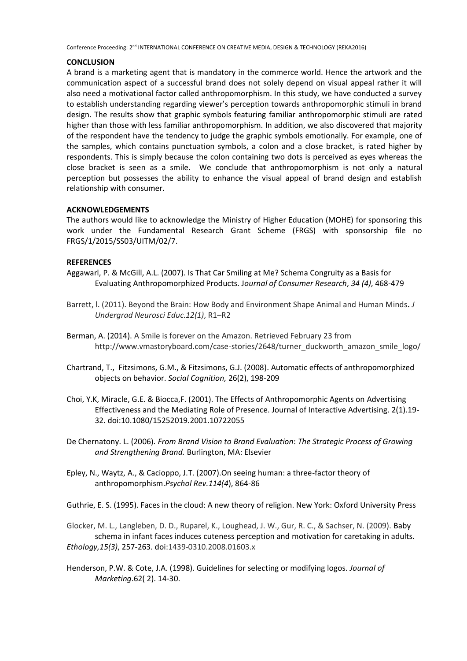## **CONCLUSION**

A brand is a marketing agent that is mandatory in the commerce world. Hence the artwork and the communication aspect of a successful brand does not solely depend on visual appeal rather it will also need a motivational factor called anthropomorphism. In this study, we have conducted a survey to establish understanding regarding viewer's perception towards anthropomorphic stimuli in brand design. The results show that graphic symbols featuring familiar anthropomorphic stimuli are rated higher than those with less familiar anthropomorphism. In addition, we also discovered that majority of the respondent have the tendency to judge the graphic symbols emotionally. For example, one of the samples, which contains punctuation symbols, a colon and a close bracket, is rated higher by respondents. This is simply because the colon containing two dots is perceived as eyes whereas the close bracket is seen as a smile. We conclude that anthropomorphism is not only a natural perception but possesses the ability to enhance the visual appeal of brand design and establish relationship with consumer.

# **ACKNOWLEDGEMENTS**

The authors would like to acknowledge the Ministry of Higher Education (MOHE) for sponsoring this work under the Fundamental Research Grant Scheme (FRGS) with sponsorship file no FRGS/1/2015/SS03/UITM/02/7.

# **REFERENCES**

- Aggawarl, P. & McGill, A.L. (2007). Is That Car Smiling at Me? Schema Congruity as a Basis for Evaluating Anthropomorphized Products. J*ournal of Consumer Research*, *34 (4)*, 468-479
- Barrett, l. (2011). Beyond the Brain: How Body and Environment Shape Animal and Human Minds**.** *J Undergrad Neurosci Educ.12(1)*, R1–R2
- Berman, A. (2014). A Smile is forever on the Amazon. Retrieved February 23 from http://www.vmastoryboard.com/case-stories/2648/turner\_duckworth\_amazon\_smile\_logo/
- Chartrand, T., Fitzsimons, G.M., & Fitzsimons, G.J. (2008). Automatic effects of anthropomorphized objects on behavior. *Social Cognition,* 26(2), 198-209
- Choi, Y.K, Miracle, G.E. & Biocca,F. (2001). The Effects of Anthropomorphic Agents on Advertising Effectiveness and the Mediating Role of Presence. Journal of Interactive Advertising. 2(1).19- 32. doi:10.1080/15252019.2001.10722055
- De Chernatony. L. (2006). *From Brand Vision to Brand Evaluation*: *The Strategic Process of Growing and Strengthening Brand.* Burlington, MA: Elsevier
- Epley, N., Waytz, A., & Cacioppo, J.T. (2007).On seeing human: a three-factor theory of anthropomorphism.*Psychol Rev.114(4*), 864-86

Guthrie, E. S. (1995). Faces in the cloud: A new theory of religion. New York: Oxford University Press

Glocker, M. L., Langleben, D. D., Ruparel, K., Loughead, J. W., Gur, R. C., & Sachser, N. (2009). Baby schema in infant faces induces cuteness perception and motivation for caretaking in adults. *Ethology,15(3)*, 257-263. doi:1439-0310.2008.01603.x

Henderson, P.W. & Cote, J.A. (1998). Guidelines for selecting or modifying logos. *Journal of Marketing*.62( 2). 14-30.